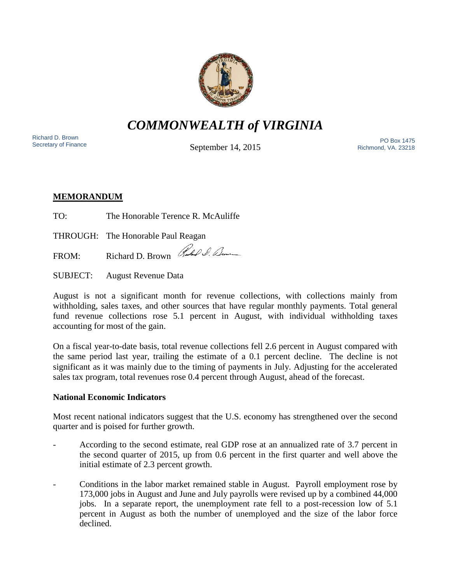

*COMMONWEALTH of VIRGINIA*

Richard D. Brown<br>Secretary of Finance

September 14, 2015

Nichard D. Brown<br>Secretary of Finance The PO Box 1475<br>Secretary of Finance The Pichard Museum of Sontombor 14, 2015 Richmond, VA. 23218

# **MEMORANDUM**

TO: The Honorable Terence R. McAuliffe

THROUGH: The Honorable Paul Reagan

FROM: Richard D. Brown Rules & Benne

SUBJECT: August Revenue Data

August is not a significant month for revenue collections, with collections mainly from withholding, sales taxes, and other sources that have regular monthly payments. Total general fund revenue collections rose 5.1 percent in August, with individual withholding taxes accounting for most of the gain.

On a fiscal year-to-date basis, total revenue collections fell 2.6 percent in August compared with the same period last year, trailing the estimate of a 0.1 percent decline. The decline is not significant as it was mainly due to the timing of payments in July. Adjusting for the accelerated sales tax program, total revenues rose 0.4 percent through August, ahead of the forecast.

## **National Economic Indicators**

Most recent national indicators suggest that the U.S. economy has strengthened over the second quarter and is poised for further growth.

- According to the second estimate, real GDP rose at an annualized rate of 3.7 percent in the second quarter of 2015, up from 0.6 percent in the first quarter and well above the initial estimate of 2.3 percent growth.
- Conditions in the labor market remained stable in August. Payroll employment rose by 173,000 jobs in August and June and July payrolls were revised up by a combined 44,000 jobs. In a separate report, the unemployment rate fell to a post-recession low of 5.1 percent in August as both the number of unemployed and the size of the labor force declined.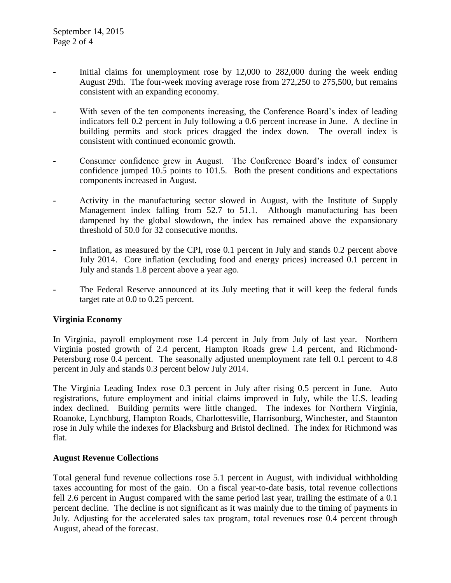- Initial claims for unemployment rose by 12,000 to 282,000 during the week ending August 29th. The four-week moving average rose from 272,250 to 275,500, but remains consistent with an expanding economy.
- With seven of the ten components increasing, the Conference Board's index of leading indicators fell 0.2 percent in July following a 0.6 percent increase in June. A decline in building permits and stock prices dragged the index down. The overall index is consistent with continued economic growth.
- Consumer confidence grew in August. The Conference Board's index of consumer confidence jumped 10.5 points to 101.5. Both the present conditions and expectations components increased in August.
- Activity in the manufacturing sector slowed in August, with the Institute of Supply Management index falling from 52.7 to 51.1. Although manufacturing has been dampened by the global slowdown, the index has remained above the expansionary threshold of 50.0 for 32 consecutive months.
- Inflation, as measured by the CPI, rose 0.1 percent in July and stands 0.2 percent above July 2014. Core inflation (excluding food and energy prices) increased 0.1 percent in July and stands 1.8 percent above a year ago.
- The Federal Reserve announced at its July meeting that it will keep the federal funds target rate at 0.0 to 0.25 percent.

#### **Virginia Economy**

In Virginia, payroll employment rose 1.4 percent in July from July of last year. Northern Virginia posted growth of 2.4 percent, Hampton Roads grew 1.4 percent, and Richmond-Petersburg rose 0.4 percent. The seasonally adjusted unemployment rate fell 0.1 percent to 4.8 percent in July and stands 0.3 percent below July 2014.

The Virginia Leading Index rose 0.3 percent in July after rising 0.5 percent in June. Auto registrations, future employment and initial claims improved in July, while the U.S. leading index declined. Building permits were little changed. The indexes for Northern Virginia, Roanoke, Lynchburg, Hampton Roads, Charlottesville, Harrisonburg, Winchester, and Staunton rose in July while the indexes for Blacksburg and Bristol declined. The index for Richmond was flat.

#### **August Revenue Collections**

Total general fund revenue collections rose 5.1 percent in August, with individual withholding taxes accounting for most of the gain. On a fiscal year-to-date basis, total revenue collections fell 2.6 percent in August compared with the same period last year, trailing the estimate of a 0.1 percent decline. The decline is not significant as it was mainly due to the timing of payments in July. Adjusting for the accelerated sales tax program, total revenues rose 0.4 percent through August, ahead of the forecast.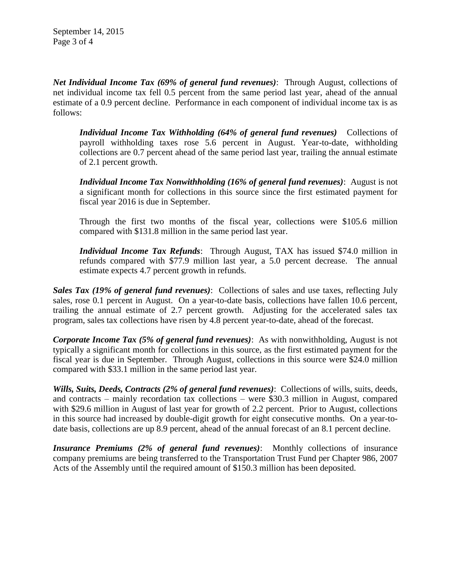*Net Individual Income Tax (69% of general fund revenues)*: Through August, collections of net individual income tax fell 0.5 percent from the same period last year, ahead of the annual estimate of a 0.9 percent decline. Performance in each component of individual income tax is as follows:

*Individual Income Tax Withholding (64% of general fund revenues)* Collections of payroll withholding taxes rose 5.6 percent in August. Year-to-date, withholding collections are 0.7 percent ahead of the same period last year, trailing the annual estimate of 2.1 percent growth.

*Individual Income Tax Nonwithholding (16% of general fund revenues)*: August is not a significant month for collections in this source since the first estimated payment for fiscal year 2016 is due in September.

Through the first two months of the fiscal year, collections were \$105.6 million compared with \$131.8 million in the same period last year.

*Individual Income Tax Refunds*: Through August, TAX has issued \$74.0 million in refunds compared with \$77.9 million last year, a 5.0 percent decrease. The annual estimate expects 4.7 percent growth in refunds.

*Sales Tax (19% of general fund revenues)*: Collections of sales and use taxes, reflecting July sales, rose 0.1 percent in August. On a year-to-date basis, collections have fallen 10.6 percent, trailing the annual estimate of 2.7 percent growth. Adjusting for the accelerated sales tax program, sales tax collections have risen by 4.8 percent year-to-date, ahead of the forecast.

*Corporate Income Tax (5% of general fund revenues)*: As with nonwithholding, August is not typically a significant month for collections in this source, as the first estimated payment for the fiscal year is due in September. Through August, collections in this source were \$24.0 million compared with \$33.1 million in the same period last year.

*Wills, Suits, Deeds, Contracts (2% of general fund revenues)*: Collections of wills, suits, deeds, and contracts – mainly recordation tax collections – were \$30.3 million in August, compared with \$29.6 million in August of last year for growth of 2.2 percent. Prior to August, collections in this source had increased by double-digit growth for eight consecutive months. On a year-todate basis, collections are up 8.9 percent, ahead of the annual forecast of an 8.1 percent decline.

*Insurance Premiums (2% of general fund revenues)*: Monthly collections of insurance company premiums are being transferred to the Transportation Trust Fund per Chapter 986, 2007 Acts of the Assembly until the required amount of \$150.3 million has been deposited.